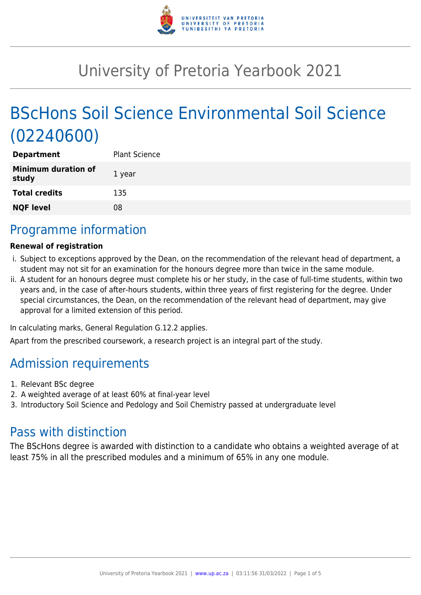

# University of Pretoria Yearbook 2021

# BScHons Soil Science Environmental Soil Science (02240600)

| <b>Plant Science</b> |
|----------------------|
| 1 year               |
| 135                  |
| 08                   |
|                      |

# Programme information

### **Renewal of registration**

- i. Subject to exceptions approved by the Dean, on the recommendation of the relevant head of department, a student may not sit for an examination for the honours degree more than twice in the same module.
- ii. A student for an honours degree must complete his or her study, in the case of full-time students, within two years and, in the case of after-hours students, within three years of first registering for the degree. Under special circumstances, the Dean, on the recommendation of the relevant head of department, may give approval for a limited extension of this period.

In calculating marks, General Regulation G.12.2 applies.

Apart from the prescribed coursework, a research project is an integral part of the study.

# Admission requirements

- 1. Relevant BSc degree
- 2. A weighted average of at least 60% at final-year level
- 3. Introductory Soil Science and Pedology and Soil Chemistry passed at undergraduate level

# Pass with distinction

The BScHons degree is awarded with distinction to a candidate who obtains a weighted average of at least 75% in all the prescribed modules and a minimum of 65% in any one module.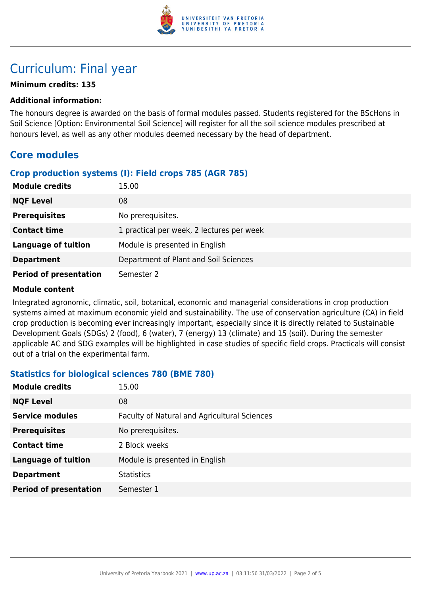

# Curriculum: Final year

### **Minimum credits: 135**

#### **Additional information:**

The honours degree is awarded on the basis of formal modules passed. Students registered for the BScHons in Soil Science [Option: Environmental Soil Science] will register for all the soil science modules prescribed at honours level, as well as any other modules deemed necessary by the head of department.

# **Core modules**

#### **Crop production systems (I): Field crops 785 (AGR 785)**

| <b>Module credits</b>         | 15.00                                     |
|-------------------------------|-------------------------------------------|
| <b>NQF Level</b>              | 08                                        |
| <b>Prerequisites</b>          | No prerequisites.                         |
| <b>Contact time</b>           | 1 practical per week, 2 lectures per week |
| <b>Language of tuition</b>    | Module is presented in English            |
| <b>Department</b>             | Department of Plant and Soil Sciences     |
| <b>Period of presentation</b> | Semester 2                                |

#### **Module content**

Integrated agronomic, climatic, soil, botanical, economic and managerial considerations in crop production systems aimed at maximum economic yield and sustainability. The use of conservation agriculture (CA) in field crop production is becoming ever increasingly important, especially since it is directly related to Sustainable Development Goals (SDGs) 2 (food), 6 (water), 7 (energy) 13 (climate) and 15 (soil). During the semester applicable AC and SDG examples will be highlighted in case studies of specific field crops. Practicals will consist out of a trial on the experimental farm.

#### **Statistics for biological sciences 780 (BME 780)**

| <b>Module credits</b>         | 15.00                                        |
|-------------------------------|----------------------------------------------|
| <b>NQF Level</b>              | 08                                           |
| <b>Service modules</b>        | Faculty of Natural and Agricultural Sciences |
| <b>Prerequisites</b>          | No prerequisites.                            |
| <b>Contact time</b>           | 2 Block weeks                                |
| <b>Language of tuition</b>    | Module is presented in English               |
| <b>Department</b>             | <b>Statistics</b>                            |
| <b>Period of presentation</b> | Semester 1                                   |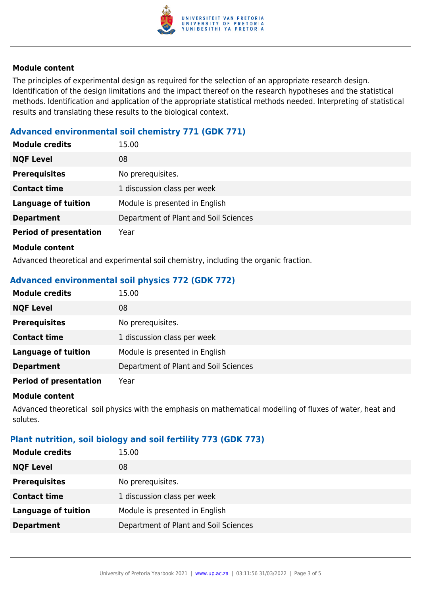

#### **Module content**

The principles of experimental design as required for the selection of an appropriate research design. Identification of the design limitations and the impact thereof on the research hypotheses and the statistical methods. Identification and application of the appropriate statistical methods needed. Interpreting of statistical results and translating these results to the biological context.

### **Advanced environmental soil chemistry 771 (GDK 771)**

| <b>Module credits</b>         | 15.00                                 |
|-------------------------------|---------------------------------------|
| <b>NQF Level</b>              | 08                                    |
| <b>Prerequisites</b>          | No prerequisites.                     |
| <b>Contact time</b>           | 1 discussion class per week           |
| <b>Language of tuition</b>    | Module is presented in English        |
| <b>Department</b>             | Department of Plant and Soil Sciences |
| <b>Period of presentation</b> | Year                                  |
| <b>Module content</b>         |                                       |

Advanced theoretical and experimental soil chemistry, including the organic fraction.

## **Advanced environmental soil physics 772 (GDK 772)**

| <b>Module credits</b>         | 15.00                                 |
|-------------------------------|---------------------------------------|
| <b>NQF Level</b>              | 08                                    |
| <b>Prerequisites</b>          | No prerequisites.                     |
| <b>Contact time</b>           | 1 discussion class per week           |
| <b>Language of tuition</b>    | Module is presented in English        |
| <b>Department</b>             | Department of Plant and Soil Sciences |
| <b>Period of presentation</b> | Year                                  |

#### **Module content**

Advanced theoretical soil physics with the emphasis on mathematical modelling of fluxes of water, heat and solutes.

### **Plant nutrition, soil biology and soil fertility 773 (GDK 773)**

| No prerequisites.                     |
|---------------------------------------|
| 1 discussion class per week           |
| Module is presented in English        |
| Department of Plant and Soil Sciences |
|                                       |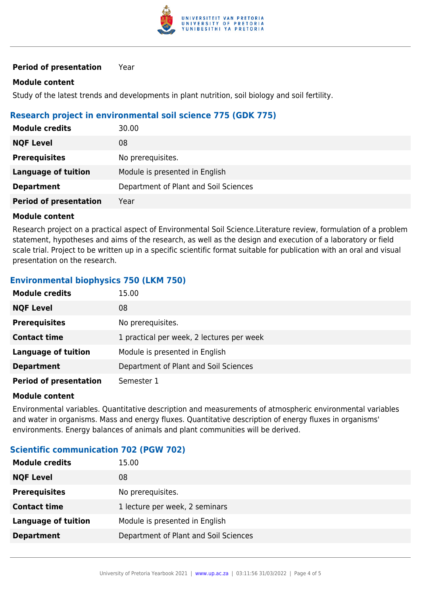

#### **Period of presentation** Year

#### **Module content**

Study of the latest trends and developments in plant nutrition, soil biology and soil fertility.

#### **Research project in environmental soil science 775 (GDK 775)**

| <b>Module credits</b>         | 30.00                                 |
|-------------------------------|---------------------------------------|
| <b>NQF Level</b>              | 08                                    |
| <b>Prerequisites</b>          | No prerequisites.                     |
| <b>Language of tuition</b>    | Module is presented in English        |
| <b>Department</b>             | Department of Plant and Soil Sciences |
| <b>Period of presentation</b> | Year                                  |

#### **Module content**

Research project on a practical aspect of Environmental Soil Science.Literature review, formulation of a problem statement, hypotheses and aims of the research, as well as the design and execution of a laboratory or field scale trial. Project to be written up in a specific scientific format suitable for publication with an oral and visual presentation on the research.

#### **Environmental biophysics 750 (LKM 750)**

| <b>Module credits</b>         | 15.00                                     |
|-------------------------------|-------------------------------------------|
| <b>NQF Level</b>              | 08                                        |
| <b>Prerequisites</b>          | No prerequisites.                         |
| <b>Contact time</b>           | 1 practical per week, 2 lectures per week |
| <b>Language of tuition</b>    | Module is presented in English            |
| <b>Department</b>             | Department of Plant and Soil Sciences     |
| <b>Period of presentation</b> | Semester 1                                |

#### **Module content**

Environmental variables. Quantitative description and measurements of atmospheric environmental variables and water in organisms. Mass and energy fluxes. Quantitative description of energy fluxes in organisms' environments. Energy balances of animals and plant communities will be derived.

#### **Scientific communication 702 (PGW 702)**

| <b>Module credits</b> | 15.00                                 |
|-----------------------|---------------------------------------|
| <b>NQF Level</b>      | 08                                    |
| <b>Prerequisites</b>  | No prerequisites.                     |
| <b>Contact time</b>   | 1 lecture per week, 2 seminars        |
| Language of tuition   | Module is presented in English        |
| <b>Department</b>     | Department of Plant and Soil Sciences |